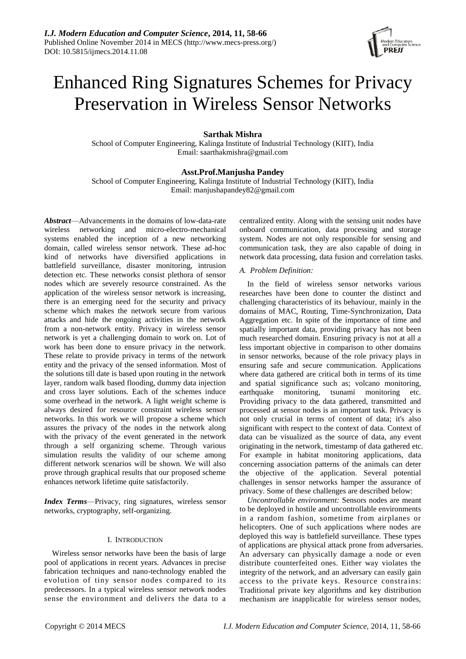# Enhanced Ring Signatures Schemes for Privacy Preservation in Wireless Sensor Networks

# **Sarthak Mishra**

School of Computer Engineering, Kalinga Institute of Industrial Technology (KIIT), India Email: saarthakmishra@gmail.com

# **Asst.Prof.Manjusha Pandey**

School of Computer Engineering, Kalinga Institute of Industrial Technology (KIIT), India Email: manjushapandey82@gmail.com

*Abstract*—Advancements in the domains of low-data-rate wireless networking and micro-electro-mechanical systems enabled the inception of a new networking domain, called wireless sensor network. These ad-hoc kind of networks have diversified applications in battlefield surveillance, disaster monitoring, intrusion detection etc. These networks consist plethora of sensor nodes which are severely resource constrained. As the application of the wireless sensor network is increasing, there is an emerging need for the security and privacy scheme which makes the network secure from various attacks and hide the ongoing activities in the network from a non-network entity. Privacy in wireless sensor network is yet a challenging domain to work on. Lot of work has been done to ensure privacy in the network. These relate to provide privacy in terms of the network entity and the privacy of the sensed information. Most of the solutions till date is based upon routing in the network layer, random walk based flooding, dummy data injection and cross layer solutions. Each of the schemes induce some overhead in the network. A light weight scheme is always desired for resource constraint wireless sensor networks. In this work we will propose a scheme which assures the privacy of the nodes in the network along with the privacy of the event generated in the network through a self organizing scheme. Through various simulation results the validity of our scheme among different network scenarios will be shown. We will also prove through graphical results that our proposed scheme enhances network lifetime quite satisfactorily.

*Index Terms*—Privacy, ring signatures, wireless sensor networks, cryptography, self-organizing.

# I. INTRODUCTION

Wireless sensor networks have been the basis of large pool of applications in recent years. Advances in precise fabrication techniques and nano-technology enabled the evolution of tiny sensor nodes compared to its predecessors. In a typical wireless sensor network nodes sense the environment and delivers the data to a centralized entity. Along with the sensing unit nodes have onboard communication, data processing and storage system. Nodes are not only responsible for sensing and communication task, they are also capable of doing in network data processing, data fusion and correlation tasks.

# *A. Problem Definition:*

In the field of wireless sensor networks various researches have been done to counter the distinct and challenging characteristics of its behaviour, mainly in the domains of MAC, Routing, Time-Synchronization, Data Aggregation etc. In spite of the importance of time and spatially important data, providing privacy has not been much researched domain. Ensuring privacy is not at all a less important objective in comparison to other domains in sensor networks, because of the role privacy plays in ensuring safe and secure communication. Applications where data gathered are critical both in terms of its time and spatial significance such as; volcano monitoring, earthquake monitoring, tsunami monitoring etc. Providing privacy to the data gathered, transmitted and processed at sensor nodes is an important task. Privacy is not only crucial in terms of content of data; it's also significant with respect to the context of data. Context of data can be visualized as the source of data, any event originating in the network, timestamp of data gathered etc. For example in habitat monitoring applications, data concerning association patterns of the animals can deter the objective of the application. Several potential challenges in sensor networks hamper the assurance of privacy. Some of these challenges are described below:

*Uncontrollable environment:* Sensors nodes are meant to be deployed in hostile and uncontrollable environments in a random fashion, sometime from airplanes or helicopters. One of such applications where nodes are deployed this way is battlefield surveillance. These types of applications are physical attack prone from adversaries. An adversary can physically damage a node or even distribute counterfeited ones. Either way violates the integrity of the network, and an adversary can easily gain access to the private keys. Resource constrains: Traditional private key algorithms and key distribution mechanism are inapplicable for wireless sensor nodes,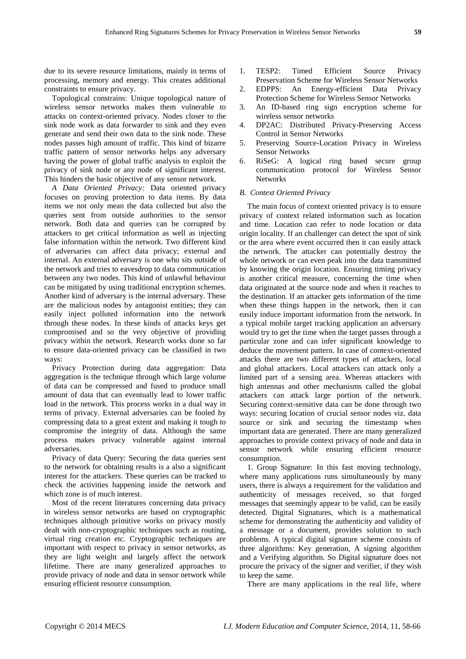due to its severe resource limitations, mainly in terms of processing, memory and energy. This creates additional constraints to ensure privacy.

Topological constrains: Unique topological nature of wireless sensor networks makes them vulnerable to attacks on context-oriented privacy. Nodes closer to the sink node work as data forwarder to sink and they even generate and send their own data to the sink node. These nodes passes high amount of traffic. This kind of bizarre traffic pattern of sensor networks helps any adversary having the power of global traffic analysis to exploit the privacy of sink node or any node of significant interest. This hinders the basic objective of any sensor network.

*A Data Oriented Privacy:* Data oriented privacy focuses on proving protection to data items. By data items we not only mean the data collected but also the queries sent from outside authorities to the sensor network. Both data and queries can be corrupted by attackers to get critical information as well as injecting false information within the network. Two different kind of adversaries can affect data privacy; external and internal. An external adversary is one who sits outside of the network and tries to eavesdrop to data communication between any two nodes. This kind of unlawful behaviour can be mitigated by using traditional encryption schemes. Another kind of adversary is the internal adversary. These are the malicious nodes by antagonist entities; they can easily inject polluted information into the network through these nodes. In these kinds of attacks keys get compromised and so the very objective of providing privacy within the network. Research works done so far to ensure data-oriented privacy can be classified in two ways:

Privacy Protection during data aggregation: Data aggregation is the technique through which large volume of data can be compressed and fused to produce small amount of data that can eventually lead to lower traffic load in the network. This process works in a dual way in terms of privacy. External adversaries can be fooled by compressing data to a great extent and making it tough to compromise the integrity of data. Although the same process makes privacy vulnerable against internal adversaries.

Privacy of data Query: Securing the data queries sent to the network for obtaining results is a also a significant interest for the attackers. These queries can be tracked to check the activities happening inside the network and which zone is of much interest.

Most of the recent literatures concerning data privacy in wireless sensor networks are based on cryptographic techniques although primitive works on privacy mostly dealt with non-cryptographic techniques such as routing, virtual ring creation etc. Cryptographic techniques are important with respect to privacy in sensor networks, as they are light weight and largely affect the network lifetime. There are many generalized approaches to provide privacy of node and data in sensor network while ensuring efficient resource consumption.

- 1. TESP2: Timed Efficient Source Privacy Preservation Scheme for Wireless Sensor Networks
- 2. EDPPS: An Energy-efficient Data Privacy Protection Scheme for Wireless Sensor Networks
- 3. An ID-based ring sign encryption scheme for wireless sensor networks
- 4. DP2AC: Distributed Privacy-Preserving Access Control in Sensor Networks
- 5. Preserving Source-Location Privacy in Wireless Sensor Networks
- 6. RiSeG: A logical ring based secure group communication protocol for Wireless Sensor **Networks**

# *B. Context Oriented Privacy*

The main focus of context oriented privacy is to ensure privacy of context related information such as location and time. Location can refer to node location or data origin locality. If an challenger can detect the spot of sink or the area where event occurred then it can easily attack the network. The attacker can potentially destroy the whole network or can even peak into the data transmitted by knowing the origin location. Ensuring timing privacy is another critical measure, concerning the time when data originated at the source node and when it reaches to the destination. If an attacker gets information of the time when these things happen in the network, then it can easily induce important information from the network. In a typical mobile target tracking application an adversary would try to get the time when the target passes through a particular zone and can infer significant knowledge to deduce the movement pattern. In case of context-oriented attacks there are two different types of attackers, local and global attackers. Local attackers can attack only a limited part of a sensing area. Whereas attackers with high antennas and other mechanisms called the global attackers can attack large portion of the network. Securing context-sensitive data can be done through two ways: securing location of crucial sensor nodes viz. data source or sink and securing the timestamp when important data are generated. There are many generalized approaches to provide context privacy of node and data in sensor network while ensuring efficient resource consumption.

1. Group Signature: In this fast moving technology, where many applications runs simultaneously by many users, there is always a requirement for the validation and authenticity of messages received, so that forged messages that seemingly appear to be valid, can be easily detected. Digital Signatures, which is a mathematical scheme for demonstrating the authenticity and validity of a message or a document, provides solution to such problems. A typical digital signature scheme consists of three algorithms: Key generation, A signing algorithm and a Verifying algorithm. So Digital signature does not procure the privacy of the signer and verifier, if they wish to keep the same.

There are many applications in the real life, where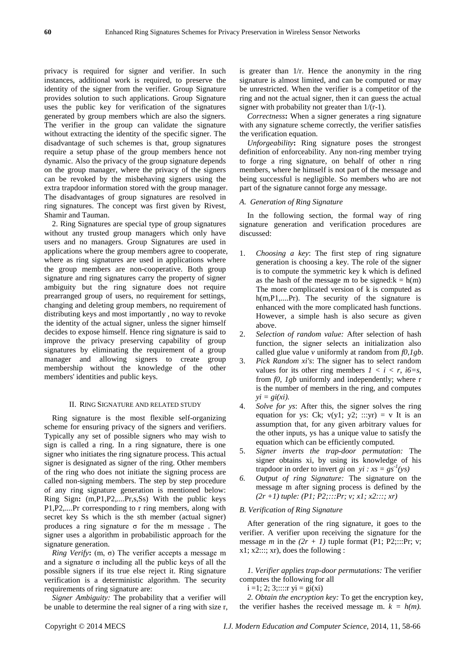privacy is required for signer and verifier. In such instances, additional work is required, to preserve the identity of the signer from the verifier. Group Signature provides solution to such applications. Group Signature uses the public key for verification of the signatures generated by group members which are also the signers. The verifier in the group can validate the signature without extracting the identity of the specific signer. The disadvantage of such schemes is that, group signatures require a setup phase of the group members hence not dynamic. Also the privacy of the group signature depends on the group manager, where the privacy of the signers can be revoked by the misbehaving signers using the extra trapdoor information stored with the group manager. The disadvantages of group signatures are resolved in ring signatures. The concept was first given by Rivest, Shamir and Tauman.

2. Ring Signatures are special type of group signatures without any trusted group managers which only have users and no managers. Group Signatures are used in applications where the group members agree to cooperate, where as ring signatures are used in applications where the group members are non-cooperative. Both group signature and ring signatures carry the property of signer ambiguity but the ring signature does not require prearranged group of users, no requirement for settings, changing and deleting group members, no requirement of distributing keys and most importantly , no way to revoke the identity of the actual signer, unless the signer himself decides to expose himself. Hence ring signature is said to improve the privacy preserving capability of group signatures by eliminating the requirement of a group manager and allowing signers to create group membership without the knowledge of the other members' identities and public keys.

#### II. RING SIGNATURE AND RELATED STUDY

Ring signature is the most flexible self-organizing scheme for ensuring privacy of the signers and verifiers. Typically any set of possible signers who may wish to sign is called a ring. In a ring signature, there is one signer who initiates the ring signature process. This actual signer is designated as signer of the ring. Other members of the ring who does not initiate the signing process are called non-signing members. The step by step procedure of any ring signature generation is mentioned below: Ring Sign**:** (m,P1,P2,....Pr,s,Ss) With the public keys P1,P2,....Pr corresponding to r ring members, along with secret key Ss which is the sth member (actual signer) produces a ring signature σ for the m message . The signer uses a algorithm in probabilistic approach for the signature generation.

*Ring Verify***:** (m, σ) The verifier accepts a message m and a signature  $\sigma$  including all the public keys of all the possible signers if its true else reject it. Ring signature verification is a deterministic algorithm. The security requirements of ring signature are:

*Signer Ambiguity:* The probability that a verifier will be unable to determine the real signer of a ring with size r, is greater than 1/r. Hence the anonymity in the ring signature is almost limited, and can be computed or may be unrestricted. When the verifier is a competitor of the ring and not the actual signer, then it can guess the actual signer with probability not greater than  $1/(r-1)$ .

*Correctness***:** When a signer generates a ring signature with any signature scheme correctly, the verifier satisfies the verification equation.

*Unforgeability***:** Ring signature poses the strongest definition of enforceability. Any non-ring member trying to forge a ring signature, on behalf of other n ring members, where he himself is not part of the message and being successful is negligible. So members who are not part of the signature cannot forge any message.

# *A. Generation of Ring Signature*

In the following section, the formal way of ring signature generation and verification procedures are discussed:

- 1. *Choosing a key*: The first step of ring signature generation is choosing a key. The role of the signer is to compute the symmetric key k which is defined as the hash of the message m to be signed: $k = h(m)$ The more complicated version of k is computed as h(m,P1,....Pr). The security of the signature is enhanced with the more complicated hash functions. However, a simple hash is also secure as given above.
- 2. *Selection of random value:* After selection of hash function, the signer selects an initialization also called glue value *v* uniformly at random from *f0,1gb*.
- 3. *Pick Random xi's*: The signer has to select random values for its other ring members  $1 < i < r$ ,  $i6=s$ , from *f0, 1gb* uniformly and independently; where r is the number of members in the ring, and computes  $yi = gi(xi)$ .
- 4. *Solve for ys*: After this, the signer solves the ring equation for ys: Ck;  $v(y1; y2; ...yr) = v$  It is an assumption that, for any given arbitrary values for the other inputs, ys has a unique value to satisfy the equation which can be efficiently computed.
- 5. *Signer inverts the trap-door permutation:* The signer obtains xi, by using its knowledge of his trapdoor in order to invert *gi* on  $yi : xs = gs^{-1}(ys)$
- *6. Output of ring Signature:* The signature on the message m after signing process is defined by the *(2r +1) tuple: (P1; P2;:::Pr; v; x1; x2:::; xr)*

### *B. Verification of Ring Signature*

After generation of the ring signature, it goes to the verifier. A verifier upon receiving the signature for the message *m* in the  $(2r + 1)$  tuple format (P1; P2;:::Pr; v;  $x1; x2...; xr$ , does the following :

*1. Verifier applies trap-door permutations:* The verifier computes the following for all

 $i = 1$ ; 2; 3;::::r yi = gi(xi)

*2. Obtain the encryption key:* To get the encryption key, the verifier hashes the received message m.  $k = h(m)$ .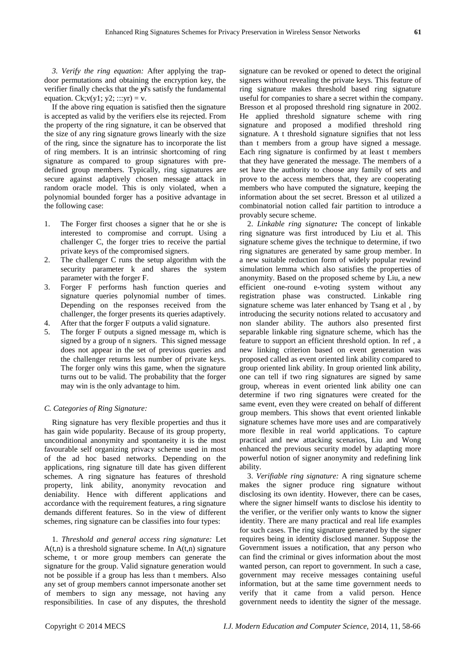*3. Verify the ring equation:* After applying the trapdoor permutations and obtaining the encryption key, the verifier finally checks that the *yi*'s satisfy the fundamental equation. Ck; $v(y1; y2; ::=yr) = v$ .

If the above ring equation is satisfied then the signature is accepted as valid by the verifiers else its rejected. From the property of the ring signature, it can be observed that the size of any ring signature grows linearly with the size of the ring, since the signature has to incorporate the list of ring members. It is an intrinsic shortcoming of ring signature as compared to group signatures with predefined group members. Typically, ring signatures are secure against adaptively chosen message attack in random oracle model. This is only violated, when a polynomial bounded forger has a positive advantage in the following case:

- 1. The Forger first chooses a signer that he or she is interested to compromise and corrupt. Using a challenger C, the forger tries to receive the partial private keys of the compromised signers.
- 2. The challenger C runs the setup algorithm with the security parameter k and shares the system parameter with the forger F.
- 3. Forger F performs hash function queries and signature queries polynomial number of times. Depending on the responses received from the challenger, the forger presents its queries adaptively.
- 4. After that the forger F outputs a valid signature.
- 5. The forger F outputs a signed message m, which is signed by a group of n signers. This signed message does not appear in the set of previous queries and the challenger returns less number of private keys. The forger only wins this game, when the signature turns out to be valid. The probability that the forger may win is the only advantage to him.

#### *C. Categories of Ring Signature:*

Ring signature has very flexible properties and thus it has gain wide popularity. Because of its group property, unconditional anonymity and spontaneity it is the most favourable self organizing privacy scheme used in most of the ad hoc based networks. Depending on the applications, ring signature till date has given different schemes. A ring signature has features of threshold property, link ability, anonymity revocation and deniability. Hence with different applications and accordance with the requirement features, a ring signature demands different features. So in the view of different schemes, ring signature can be classifies into four types:

1. *Threshold and general access ring signature:* Let  $A(t,n)$  is a threshold signature scheme. In  $A(t,n)$  signature scheme, t or more group members can generate the signature for the group. Valid signature generation would not be possible if a group has less than t members. Also any set of group members cannot impersonate another set of members to sign any message, not having any responsibilities. In case of any disputes, the threshold signature can be revoked or opened to detect the original signers without revealing the private keys. This feature of ring signature makes threshold based ring signature useful for companies to share a secret within the company. Bresson et al proposed threshold ring signature in 2002. He applied threshold signature scheme with ring signature and proposed a modified threshold ring signature. A t threshold signature signifies that not less than t members from a group have signed a message. Each ring signature is confirmed by at least t members that they have generated the message. The members of a set have the authority to choose any family of sets and prove to the access members that, they are cooperating members who have computed the signature, keeping the information about the set secret. Bresson et al utilized a combinatorial notion called fair partition to introduce a provably secure scheme.

2. *Linkable ring signature:* The concept of linkable ring signature was first introduced by Liu et al. This signature scheme gives the technique to determine, if two ring signatures are generated by same group member. In a new suitable reduction form of widely popular rewind simulation lemma which also satisfies the properties of anonymity. Based on the proposed scheme by Liu, a new efficient one-round e-voting system without any registration phase was constructed. Linkable ring signature scheme was later enhanced by Tsang et al , by introducing the security notions related to accusatory and non slander ability. The authors also presented first separable linkable ring signature scheme, which has the feature to support an efficient threshold option. In ref , a new linking criterion based on event generation was proposed called as event oriented link ability compared to group oriented link ability. In group oriented link ability, one can tell if two ring signatures are signed by same group, whereas in event oriented link ability one can determine if two ring signatures were created for the same event, even they were created on behalf of different group members. This shows that event oriented linkable signature schemes have more uses and are comparatively more flexible in real world applications. To capture practical and new attacking scenarios, Liu and Wong enhanced the previous security model by adapting more powerful notion of signer anonymity and redefining link ability.

3. *Verifiable ring signature:* A ring signature scheme makes the signer produce ring signature without disclosing its own identity. However, there can be cases, where the signer himself wants to disclose his identity to the verifier, or the verifier only wants to know the signer identity. There are many practical and real life examples for such cases. The ring signature generated by the signer requires being in identity disclosed manner. Suppose the Government issues a notification, that any person who can find the criminal or gives information about the most wanted person, can report to government. In such a case, government may receive messages containing useful information, but at the same time government needs to verify that it came from a valid person. Hence government needs to identity the signer of the message.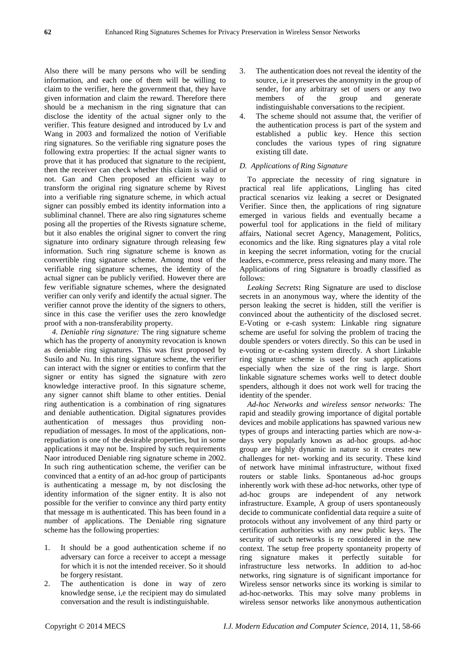Also there will be many persons who will be sending information, and each one of them will be willing to claim to the verifier, here the government that, they have given information and claim the reward. Therefore there should be a mechanism in the ring signature that can disclose the identity of the actual signer only to the verifier. This feature designed and introduced by Lv and Wang in 2003 and formalized the notion of Verifiable ring signatures. So the verifiable ring signature poses the following extra properties: If the actual signer wants to prove that it has produced that signature to the recipient, then the receiver can check whether this claim is valid or not. Gan and Chen proposed an efficient way to transform the original ring signature scheme by Rivest into a verifiable ring signature scheme, in which actual signer can possibly embed its identity information into a subliminal channel. There are also ring signatures scheme posing all the properties of the Rivests signature scheme, but it also enables the original signer to convert the ring signature into ordinary signature through releasing few information. Such ring signature scheme is known as convertible ring signature scheme. Among most of the verifiable ring signature schemes, the identity of the actual signer can be publicly verified. However there are few verifiable signature schemes, where the designated verifier can only verify and identify the actual signer. The verifier cannot prove the identity of the signers to others, since in this case the verifier uses the zero knowledge proof with a non-transferability property.

*4. Deniable ring signature:* The ring signature scheme which has the property of anonymity revocation is known as deniable ring signatures. This was first proposed by Susilo and Nu. In this ring signature scheme, the verifier can interact with the signer or entities to confirm that the signer or entity has signed the signature with zero knowledge interactive proof. In this signature scheme, any signer cannot shift blame to other entities. Denial ring authentication is a combination of ring signatures and deniable authentication. Digital signatures provides authentication of messages thus providing nonrepudiation of messages. In most of the applications, nonrepudiation is one of the desirable properties, but in some applications it may not be. Inspired by such requirements Naor introduced Deniable ring signature scheme in 2002. In such ring authentication scheme, the verifier can be convinced that a entity of an ad-hoc group of participants is authenticating a message m, by not disclosing the identity information of the signer entity. It is also not possible for the verifier to convince any third party entity that message m is authenticated. This has been found in a number of applications. The Deniable ring signature scheme has the following properties:

- 1. It should be a good authentication scheme if no adversary can force a receiver to accept a message for which it is not the intended receiver. So it should be forgery resistant.
- 2. The authentication is done in way of zero knowledge sense, i,e the recipient may do simulated conversation and the result is indistinguishable.
- 3. The authentication does not reveal the identity of the source, i,e it preserves the anonymity in the group of sender, for any arbitrary set of users or any two members of the group and generate indistinguishable conversations to the recipient.
- 4. The scheme should not assume that, the verifier of the authentication process is part of the system and established a public key. Hence this section concludes the various types of ring signature existing till date.

# *D. Applications of Ring Signature*

To appreciate the necessity of ring signature in practical real life applications, Lingling has cited practical scenarios viz leaking a secret or Designated Verifier. Since then, the applications of ring signature emerged in various fields and eventually became a powerful tool for applications in the field of military affairs, National secret Agency, Management, Politics, economics and the like. Ring signatures play a vital role in keeping the secret information, voting for the crucial leaders, e-commerce, press releasing and many more. The Applications of ring Signature is broadly classified as follows:

*Leaking Secrets***:** Ring Signature are used to disclose secrets in an anonymous way, where the identity of the person leaking the secret is hidden, still the verifier is convinced about the authenticity of the disclosed secret. E-Voting or e-cash system: Linkable ring signature scheme are useful for solving the problem of tracing the double spenders or voters directly. So this can be used in e-voting or e-cashing system directly. A short Linkable ring signature scheme is used for such applications especially when the size of the ring is large. Short linkable signature schemes works well to detect double spenders, although it does not work well for tracing the identity of the spender.

*Ad-hoc Networks and wireless sensor networks:* The rapid and steadily growing importance of digital portable devices and mobile applications has spawned various new types of groups and interacting parties which are now-adays very popularly known as ad-hoc groups. ad-hoc group are highly dynamic in nature so it creates new challenges for net- working and its security. These kind of network have minimal infrastructure, without fixed routers or stable links. Spontaneous ad-hoc groups inherently work with these ad-hoc networks, other type of ad-hoc groups are independent of any network infrastructure. Example, A group of users spontaneously decide to communicate confidential data require a suite of protocols without any involvement of any third party or certification authorities with any new public keys. The security of such networks is re considered in the new context. The setup free property spontaneity property of ring signature makes it perfectly suitable for infrastructure less networks. In addition to ad-hoc networks, ring signature is of significant importance for Wireless sensor networks since its working is similar to ad-hoc-networks. This may solve many problems in wireless sensor networks like anonymous authentication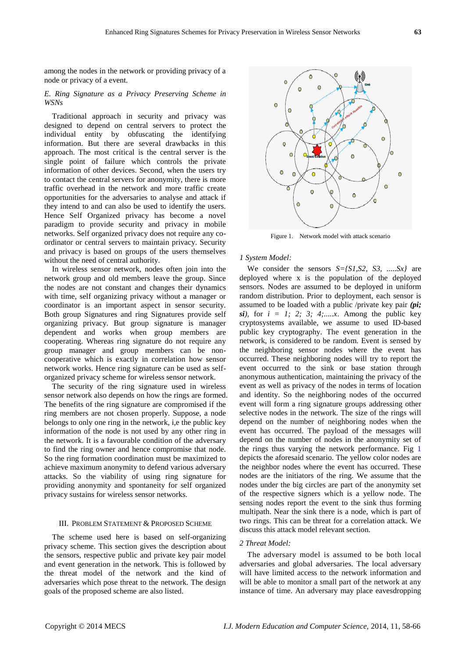among the nodes in the network or providing privacy of a node or privacy of a event.

# *E. Ring Signature as a Privacy Preserving Scheme in WSNs*

Traditional approach in security and privacy was designed to depend on central servers to protect the individual entity by obfuscating the identifying information. But there are several drawbacks in this approach. The most critical is the central server is the single point of failure which controls the private information of other devices. Second, when the users try to contact the central servers for anonymity, there is more traffic overhead in the network and more traffic create opportunities for the adversaries to analyse and attack if they intend to and can also be used to identify the users. Hence Self Organized privacy has become a novel paradigm to provide security and privacy in mobile networks. Self organized privacy does not require any coordinator or central servers to maintain privacy. Security and privacy is based on groups of the users themselves without the need of central authority.

In wireless sensor network, nodes often join into the network group and old members leave the group. Since the nodes are not constant and changes their dynamics with time, self organizing privacy without a manager or coordinator is an important aspect in sensor security. Both group Signatures and ring Signatures provide self organizing privacy. But group signature is manager dependent and works when group members are cooperating. Whereas ring signature do not require any group manager and group members can be noncooperative which is exactly in correlation how sensor network works. Hence ring signature can be used as selforganized privacy scheme for wireless sensor network.

The security of the ring signature used in wireless sensor network also depends on how the rings are formed. The benefits of the ring signature are compromised if the ring members are not chosen properly. Suppose, a node belongs to only one ring in the network, i,e the public key information of the node is not used by any other ring in the network. It is a favourable condition of the adversary to find the ring owner and hence compromise that node. So the ring formation coordination must be maximized to achieve maximum anonymity to defend various adversary attacks. So the viability of using ring signature for providing anonymity and spontaneity for self organized privacy sustains for wireless sensor networks.

#### III. PROBLEM STATEMENT & PROPOSED SCHEME

The scheme used here is based on self-organizing privacy scheme. This section gives the description about the sensors, respective public and private key pair model and event generation in the network. This is followed by the threat model of the network and the kind of adversaries which pose threat to the network. The design goals of the proposed scheme are also listed.



Figure 1. Network model with attack scenario

# *1 System Model:*

We consider the sensors *S={S1,S2, S3, .....Sx}* are deployed where x is the population of the deployed sensors. Nodes are assumed to be deployed in uniform random distribution. Prior to deployment, each sensor is assumed to be loaded with a public /private key pair *(pi; si*), for  $i = 1$ ; 2; 3; 4;.....*x*. Among the public key cryptosystems available, we assume to used ID-based public key cryptography. The event generation in the network, is considered to be random. Event is sensed by the neighboring sensor nodes where the event has occurred. These neighboring nodes will try to report the event occurred to the sink or base station through anonymous authentication, maintaining the privacy of the event as well as privacy of the nodes in terms of location and identity. So the neighboring nodes of the occurred event will form a ring signature groups addressing other selective nodes in the network. The size of the rings will depend on the number of neighboring nodes when the event has occurred. The payload of the messages will depend on the number of nodes in the anonymity set of the rings thus varying the network performance. Fig 1 depicts the aforesaid scenario. The yellow color nodes are the neighbor nodes where the event has occurred. These nodes are the initiators of the ring. We assume that the nodes under the big circles are part of the anonymity set of the respective signers which is a yellow node. The sensing nodes report the event to the sink thus forming multipath. Near the sink there is a node, which is part of two rings. This can be threat for a correlation attack. We discuss this attack model relevant section.

# *2 Threat Model:*

The adversary model is assumed to be both local adversaries and global adversaries. The local adversary will have limited access to the network information and will be able to monitor a small part of the network at any instance of time. An adversary may place eavesdropping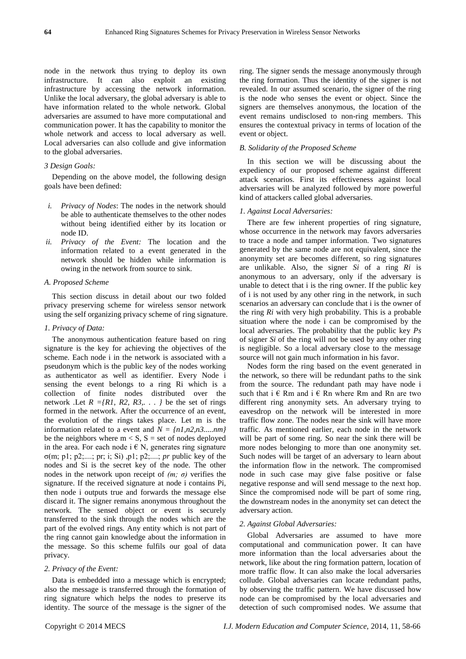node in the network thus trying to deploy its own infrastructure. It can also exploit an existing infrastructure by accessing the network information. Unlike the local adversary, the global adversary is able to have information related to the whole network. Global adversaries are assumed to have more computational and communication power. It has the capability to monitor the whole network and access to local adversary as well. Local adversaries can also collude and give information to the global adversaries.

#### *3 Design Goals:*

Depending on the above model, the following design goals have been defined:

- *i. Privacy of Nodes*: The nodes in the network should be able to authenticate themselves to the other nodes without being identified either by its location or node ID.
- *ii. Privacy of the Event:* The location and the information related to a event generated in the network should be hidden while information is owing in the network from source to sink.

#### *A. Proposed Scheme*

This section discuss in detail about our two folded privacy preserving scheme for wireless sensor network using the self organizing privacy scheme of ring signature.

#### *1. Privacy of Data:*

The anonymous authentication feature based on ring signature is the key for achieving the objectives of the scheme. Each node i in the network is associated with a pseudonym which is the public key of the nodes working as authenticator as well as identifier. Every Node i sensing the event belongs to a ring Ri which is a collection of finite nodes distributed over the network .Let  $R = {R1, R2, R3, \ldots}$  be the set of rings formed in the network. After the occurrence of an event, the evolution of the rings takes place. Let m is the information related to a event and *N = {n1,n2,n3.....nm}* be the neighbors where  $m < S$ ,  $S =$  set of nodes deployed in the area. For each node  $i \in N$ , generates ring signature σ(m; p1; p2;....; pr; i; Si) ,p1; p2;....; *pr* public key of the nodes and Si is the secret key of the node. The other nodes in the network upon receipt of *(m; σ)* verifies the signature. If the received signature at node i contains Pi, then node i outputs true and forwards the message else discard it. The signer remains anonymous throughout the network. The sensed object or event is securely transferred to the sink through the nodes which are the part of the evolved rings. Any entity which is not part of the ring cannot gain knowledge about the information in the message. So this scheme fulfils our goal of data privacy.

### *2. Privacy of the Event:*

Data is embedded into a message which is encrypted; also the message is transferred through the formation of ring signature which helps the nodes to preserve its identity. The source of the message is the signer of the ring. The signer sends the message anonymously through the ring formation. Thus the identity of the signer is not revealed. In our assumed scenario, the signer of the ring is the node who senses the event or object. Since the signers are themselves anonymous, the location of the event remains undisclosed to non-ring members. This ensures the contextual privacy in terms of location of the event or object.

### *B. Solidarity of the Proposed Scheme*

In this section we will be discussing about the expediency of our proposed scheme against different attack scenarios. First its effectiveness against local adversaries will be analyzed followed by more powerful kind of attackers called global adversaries.

# *1. Against Local Adversaries:*

There are few inherent properties of ring signature, whose occurrence in the network may favors adversaries to trace a node and tamper information. Two signatures generated by the same node are not equivalent, since the anonymity set are becomes different, so ring signatures are unlikable. Also, the signer *Si* of a ring *Ri* is anonymous to an adversary, only if the adversary is unable to detect that i is the ring owner. If the public key of i is not used by any other ring in the network, in such scenarios an adversary can conclude that i is the owner of the ring *Ri* with very high probability. This is a probable situation where the node i can be compromised by the local adversaries. The probability that the public key *Ps*  of signer *Si* of the ring will not be used by any other ring is negligible. So a local adversary close to the message source will not gain much information in his favor.

Nodes form the ring based on the event generated in the network, so there will be redundant paths to the sink from the source. The redundant path may have node i such that  $i \in Rm$  and  $i \in Rn$  where Rm and Rn are two different ring anonymity sets. An adversary trying to eavesdrop on the network will be interested in more traffic flow zone. The nodes near the sink will have more traffic. As mentioned earlier, each node in the network will be part of some ring. So near the sink there will be more nodes belonging to more than one anonymity set. Such nodes will be target of an adversary to learn about the information flow in the network. The compromised node in such case may give false positive or false negative response and will send message to the next hop. Since the compromised node will be part of some ring, the downstream nodes in the anonymity set can detect the adversary action.

#### *2. Against Global Adversaries:*

Global Adversaries are assumed to have more computational and communication power. It can have more information than the local adversaries about the network, like about the ring formation pattern, location of more traffic flow. It can also make the local adversaries collude. Global adversaries can locate redundant paths, by observing the traffic pattern. We have discussed how node can be compromised by the local adversaries and detection of such compromised nodes. We assume that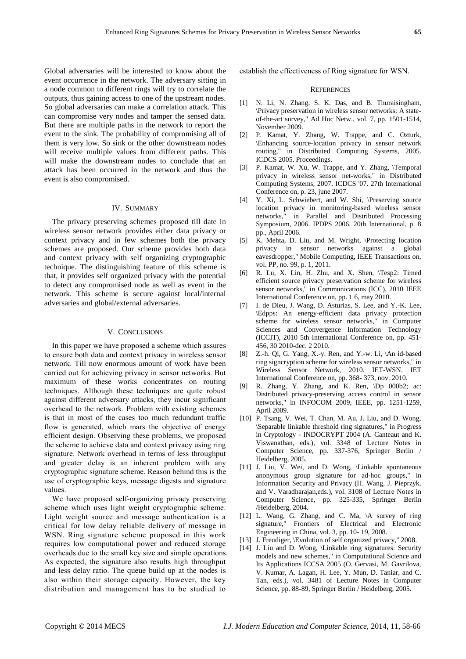Global adversaries will be interested to know about the event occurrence in the network. The adversary sitting in a node common to different rings will try to correlate the outputs, thus gaining access to one of the upstream nodes. So global adversaries can make a correlation attack. This can compromise very nodes and tamper the sensed data. But there are multiple paths in the network to report the event to the sink. The probability of compromising all of them is very low. So sink or the other downstream nodes will receive multiple values from different paths. This will make the downstream nodes to conclude that an attack has been occurred in the network and thus the event is also compromised.

#### IV. SUMMARY

The privacy preserving schemes proposed till date in wireless sensor network provides either data privacy or context privacy and in few schemes both the privacy schemes are proposed. Our scheme provides both data and context privacy with self organizing cryptographic technique. The distinguishing feature of this scheme is that, it provides self organized privacy with the potential to detect any compromised node as well as event in the network. This scheme is secure against local/internal adversaries and global/external adversaries.

# V. CONCLUSIONS

In this paper we have proposed a scheme which assures to ensure both data and context privacy in wireless sensor network. Till now enormous amount of work have been carried out for achieving privacy in sensor networks. But maximum of these works concentrates on routing techniques. Although these techniques are quite robust against different adversary attacks, they incur significant overhead to the network. Problem with existing schemes is that in most of the cases too much redundant traffic flow is generated, which mars the objective of energy efficient design. Observing these problems, we proposed the scheme to achieve data and context privacy using ring signature. Network overhead in terms of less throughput and greater delay is an inherent problem with any cryptographic signature scheme. Reason behind this is the use of cryptographic keys, message digests and signature values.

We have proposed self-organizing privacy preserving scheme which uses light weight cryptographic scheme. Light weight source and message authentication is a critical for low delay reliable delivery of message in WSN. Ring signature scheme proposed in this work requires low computational power and reduced storage overheads due to the small key size and simple operations. As expected, the signature also results high throughput and less delay ratio. The queue build up at the nodes is also within their storage capacity. However, the key distribution and management has to be studied to

establish the effectiveness of Ring signature for WSN.

#### **REFERENCES**

- [1] N. Li, N. Zhang, S. K. Das, and B. Thuraisingham, \Privacy preservation in wireless sensor networks: A stateof-the-art survey," Ad Hoc Netw., vol. 7, pp. 1501-1514, November 2009.
- [2] P. Kamat, Y. Zhang, W. Trappe, and C. Ozturk, \Enhancing source-location privacy in sensor network routing," in Distributed Computing Systems, 2005. ICDCS 2005. Proceedings.
- [3] P. Kamat, W. Xu, W. Trappe, and Y. Zhang, \Temporal privacy in wireless sensor net-works," in Distributed Computing Systems, 2007. ICDCS '07. 27th International Conference on, p. 23, june 2007.
- [4] Y. Xi, L. Schwiebert, and W. Shi, \Preserving source location privacy in monitoring-based wireless sensor networks," in Parallel and Distributed Processing Symposium, 2006. IPDPS 2006. 20th International, p. 8 pp., April 2006.
- [5] K. Mehta, D. Liu, and M. Wright, \Protecting location privacy in sensor networks against a global eavesdropper," Mobile Computing, IEEE Transactions on, vol. PP, no. 99, p. 1, 2011.
- [6] R. Lu, X. Lin, H. Zhu, and X. Shen, \Tesp2: Timed efficient source privacy preservation scheme for wireless sensor networks," in Communications (ICC), 2010 IEEE International Conference on, pp. 1 6, may 2010.
- [7] I. de Dieu, J. Wang, D. Asturias, S. Lee, and Y.-K. Lee, \Edpps: An energy-efficient data privacy protection scheme for wireless sensor networks," in Computer Sciences and Convergence Information Technology (ICCIT), 2010 5th International Conference on, pp. 451- 456, 30 2010-dec. 2 2010.
- [8] Z.-h. Qi, G. Yang, X.-y. Ren, and Y.-w. Li, \An id-based ring signcryption scheme for wireless sensor networks," in Wireless Sensor Network, 2010. IET-WSN. IET International Conference on, pp. 368- 373, nov. 2010.
- [9] R. Zhang, Y. Zhang, and K. Ren, \Dp 000b2; ac: Distributed privacy-preserving access control in sensor networks," in INFOCOM 2009, IEEE, pp. 1251-1259, April 2009.
- [10] P. Tsang, V. Wei, T. Chan, M. Au, J. Liu, and D. Wong, \Separable linkable threshold ring signatures," in Progress in Cryptology - INDOCRYPT 2004 (A. Canteaut and K. Viswanathan, eds.), vol. 3348 of Lecture Notes in Computer Science, pp. 337-376, Springer Berlin / Heidelberg, 2005.
- [11] J. Liu, V. Wei, and D. Wong, \Linkable spontaneous anonymous group signature for ad-hoc groups," in Information Security and Privacy (H. Wang, J. Pieprzyk, and V. Varadharajan,eds.), vol. 3108 of Lecture Notes in Computer Science, pp. 325-335, Springer Berlin /Heidelberg, 2004.
- [12] L. Wang, G. Zhang, and C. Ma, \A survey of ring signature," Frontiers of Electrical and Electronic Engineering in China, vol. 3, pp. 10- 19, 2008.
- [13] J. Freudiger, \Evolution of self organized privacy," 2008.
- [14] J. Liu and D. Wong, \Linkable ring signatures: Security models and new schemes," in Computational Science and Its Applications ICCSA 2005 (O. Gervasi, M. Gavrilova, V. Kumar, A. Lagan, H. Lee, Y. Mun, D. Taniar, and C. Tan, eds.), vol. 3481 of Lecture Notes in Computer Science, pp. 88-89, Springer Berlin / Heidelberg, 2005.